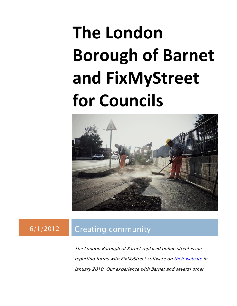# **The London Borough of Barnet and FixMyStreet for Councils**



### 6/1/2012 Creating community

The London Borough of Barnet replaced online street issue reporting forms with FixMyStreet software on [their website](http://barnet.fixmystreet.com/) in January 2010. Our experience with Barnet and several other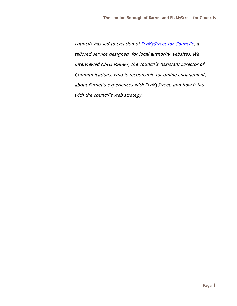councils has led to creation of **FixMyStreet for Councils**, a tailored service designed for local authority websites. We interviewed Chris Palmer, the council's Assistant Director of Communications, who is responsible for online engagement, about Barnet's experiences with FixMyStreet, and how it fits with the council's web strategy.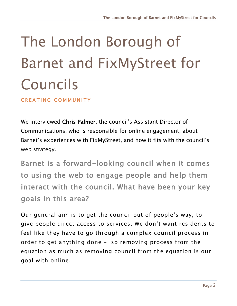## The London Borough of Barnet and FixMyStreet for Councils

CREATING COMMUNITY

We interviewed Chris Palmer, the council's Assistant Director of Communications, who is responsible for online engagement, about Barnet's experiences with FixMyStreet, and how it fits with the council's web strategy.

Barnet is a forward-looking council when it comes to using the web to engage people and help them interact with the council. What have been your key goals in this area?

Our general aim is to get the council out of people's way, to give people direct access to services. We don't want residents to feel like they have to go through a complex council process in order to get anything done – so removing process from the equation as much as removing council from the equation is our goal with online.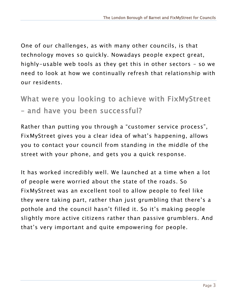One of our challenges, as with many other councils, is that technology moves so quickly. Nowadays people expect great, highly-usable web tools as they get this in other sectors – so we need to look at how we continually refresh that relationship with our residents.

What were you looking to achieve with FixMyStreet – and have you been successful?

Rather than putting you through a "customer service process", FixMyStreet gives you a clear idea of what's happening, allows you to contact your council from standing in the middle of the street with your phone, and gets you a quick response.

It has worked incredibly well. We launched at a time when a lot of people were worried about the state of the roads. So FixMyStreet was an excellent tool to allow people to feel like they were taking part, rather than just grumbling that there's a pothole and the council hasn't filled it. So it's making people slightly more active citizens rather than passive grumblers. And that's very important and quite empowering for people.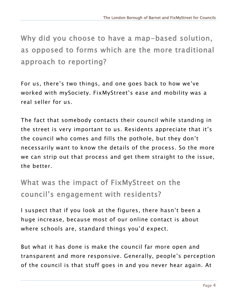Why did you choose to have a map-based solution, as opposed to forms which are the more traditional approach to reporting?

For us, there's two things, and one goes back to how we've worked with mySociety. FixMyStreet's ease and mobility was a real seller for us.

The fact that somebody contacts their council while standing in the street is very important to us. Residents appreciate that it's the council who comes and fills the pothole, but they don't necessarily want to know the details of the process. So the more we can strip out that process and get them straight to the issue, the better.

What was the impact of FixMyStreet on the council's engagement with residents?

I suspect that if you look at the figures, there hasn't been a huge increase, because most of our online contact is about where schools are, standard things you'd expect.

But what it has done is make the council far more open and transparent and more responsive. Generally, people's perception of the council is that stuff goes in and you never hear again. At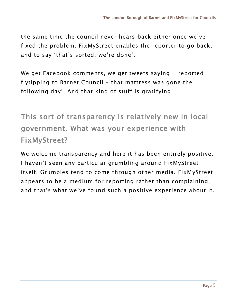the same time the council never hears back either once we've fixed the problem. FixMyStreet enables the reporter to go back, and to say 'that's sorted; we're done'.

We get Facebook comments, we get tweets saying 'I reported flytipping to Barnet Council – that mattress was gone the following day'. And that kind of stuff is gratifying.

This sort of transparency is relatively new in local government. What was your experience with FixMyStreet?

We welcome transparency and here it has been entirely positive. I haven't seen any particular grumbling around FixMyStreet itself. Grumbles tend to come through other media. FixMyStreet appears to be a medium for reporting rather than complaining, and that's what we've found such a positive experience about it.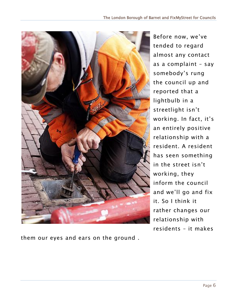

Before now, we've tended to regard almost any contact as a complaint – say somebody's rung the council up and reported that a lightbulb in a streetlight isn't working. In fact, it's an entirely positive relationship with a resident. A resident has seen something in the street isn't working, they inform the council and we'll go and fix it. So I think it rather changes our relationship with residents – it makes

them our eyes and ears on the ground .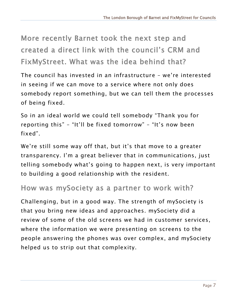More recently Barnet took the next step and created a direct link with the council's CRM and FixMyStreet. What was the idea behind that?

The council has invested in an infrastructure – we're interested in seeing if we can move to a service where not only does somebody report something, but we can tell them the processes of being fixed.

So in an ideal world we could tell somebody "Thank you for reporting this" – "It'll be fixed tomorrow" – "It's now been fixed".

We're still some way off that, but it's that move to a greater transparency. I'm a great believer that in communications, just telling somebody what's going to happen next, is very important to building a good relationship with the resident.

#### How was mySociety as a partner to work with?

Challenging, but in a good way. The strength of mySociety is that you bring new ideas and approaches. mySociety did a review of some of the old screens we had in customer services, where the information we were presenting on screens to the people answering the phones was over complex, and mySociety helped us to strip out that complexity.